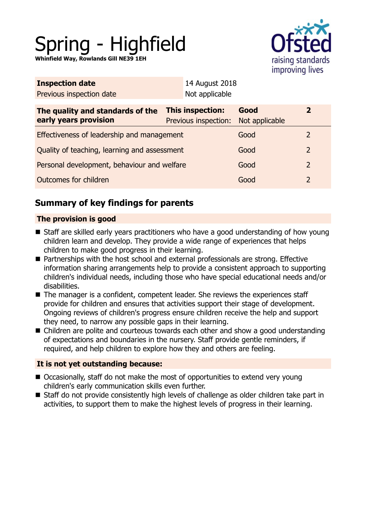# Spring - Highfield

**Whinfield Way, Rowlands Gill NE39 1EH**



| <b>Inspection date</b>                                    | 14 August 2018                                  |                        |                |  |
|-----------------------------------------------------------|-------------------------------------------------|------------------------|----------------|--|
| Previous inspection date                                  | Not applicable                                  |                        |                |  |
| The quality and standards of the<br>early years provision | <b>This inspection:</b><br>Previous inspection: | Good<br>Not applicable | $\mathbf{2}$   |  |
| Effectiveness of leadership and management                |                                                 | Good                   | 2              |  |
| Quality of teaching, learning and assessment              |                                                 | Good                   | $\overline{2}$ |  |
| Personal development, behaviour and welfare               |                                                 | Good                   | $\overline{2}$ |  |
| Outcomes for children                                     |                                                 | Good                   | $\overline{2}$ |  |
|                                                           |                                                 |                        |                |  |

# **Summary of key findings for parents**

## **The provision is good**

- Staff are skilled early years practitioners who have a good understanding of how young children learn and develop. They provide a wide range of experiences that helps children to make good progress in their learning.
- Partnerships with the host school and external professionals are strong. Effective information sharing arrangements help to provide a consistent approach to supporting children's individual needs, including those who have special educational needs and/or disabilities.
- $\blacksquare$  The manager is a confident, competent leader. She reviews the experiences staff provide for children and ensures that activities support their stage of development. Ongoing reviews of children's progress ensure children receive the help and support they need, to narrow any possible gaps in their learning.
- Children are polite and courteous towards each other and show a good understanding of expectations and boundaries in the nursery. Staff provide gentle reminders, if required, and help children to explore how they and others are feeling.

## **It is not yet outstanding because:**

- $\blacksquare$  Occasionally, staff do not make the most of opportunities to extend very young children's early communication skills even further.
- Staff do not provide consistently high levels of challenge as older children take part in activities, to support them to make the highest levels of progress in their learning.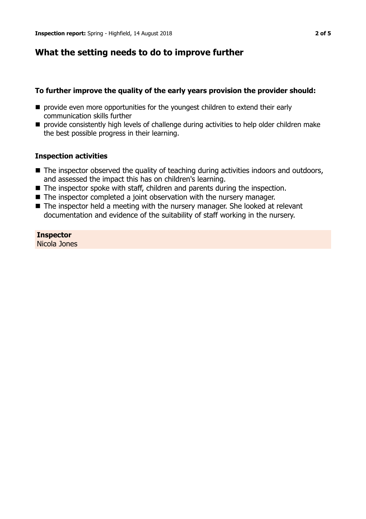# **What the setting needs to do to improve further**

## **To further improve the quality of the early years provision the provider should:**

- $\blacksquare$  provide even more opportunities for the youngest children to extend their early communication skills further
- **n** provide consistently high levels of challenge during activities to help older children make the best possible progress in their learning.

## **Inspection activities**

- $\blacksquare$  The inspector observed the quality of teaching during activities indoors and outdoors, and assessed the impact this has on children's learning.
- $\blacksquare$  The inspector spoke with staff, children and parents during the inspection.
- $\blacksquare$  The inspector completed a joint observation with the nursery manager.
- $\blacksquare$  The inspector held a meeting with the nursery manager. She looked at relevant documentation and evidence of the suitability of staff working in the nursery.

## **Inspector**

Nicola Jones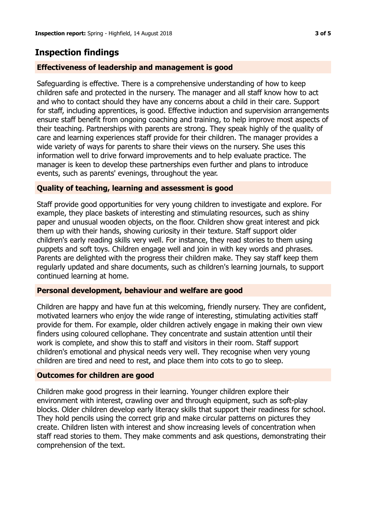# **Inspection findings**

## **Effectiveness of leadership and management is good**

Safeguarding is effective. There is a comprehensive understanding of how to keep children safe and protected in the nursery. The manager and all staff know how to act and who to contact should they have any concerns about a child in their care. Support for staff, including apprentices, is good. Effective induction and supervision arrangements ensure staff benefit from ongoing coaching and training, to help improve most aspects of their teaching. Partnerships with parents are strong. They speak highly of the quality of care and learning experiences staff provide for their children. The manager provides a wide variety of ways for parents to share their views on the nursery. She uses this information well to drive forward improvements and to help evaluate practice. The manager is keen to develop these partnerships even further and plans to introduce events, such as parents' evenings, throughout the year.

#### **Quality of teaching, learning and assessment is good**

Staff provide good opportunities for very young children to investigate and explore. For example, they place baskets of interesting and stimulating resources, such as shiny paper and unusual wooden objects, on the floor. Children show great interest and pick them up with their hands, showing curiosity in their texture. Staff support older children's early reading skills very well. For instance, they read stories to them using puppets and soft toys. Children engage well and join in with key words and phrases. Parents are delighted with the progress their children make. They say staff keep them regularly updated and share documents, such as children's learning journals, to support continued learning at home.

#### **Personal development, behaviour and welfare are good**

Children are happy and have fun at this welcoming, friendly nursery. They are confident, motivated learners who enjoy the wide range of interesting, stimulating activities staff provide for them. For example, older children actively engage in making their own view finders using coloured cellophane. They concentrate and sustain attention until their work is complete, and show this to staff and visitors in their room. Staff support children's emotional and physical needs very well. They recognise when very young children are tired and need to rest, and place them into cots to go to sleep.

#### **Outcomes for children are good**

Children make good progress in their learning. Younger children explore their environment with interest, crawling over and through equipment, such as soft-play blocks. Older children develop early literacy skills that support their readiness for school. They hold pencils using the correct grip and make circular patterns on pictures they create. Children listen with interest and show increasing levels of concentration when staff read stories to them. They make comments and ask questions, demonstrating their comprehension of the text.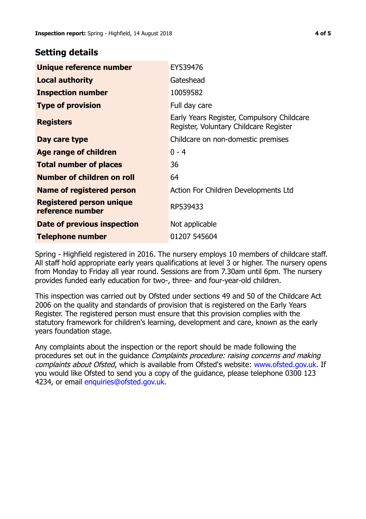## **Setting details**

| Unique reference number                             | EY539476                                                                             |  |
|-----------------------------------------------------|--------------------------------------------------------------------------------------|--|
| <b>Local authority</b>                              | Gateshead                                                                            |  |
| <b>Inspection number</b>                            | 10059582                                                                             |  |
| <b>Type of provision</b>                            | Full day care                                                                        |  |
| <b>Registers</b>                                    | Early Years Register, Compulsory Childcare<br>Register, Voluntary Childcare Register |  |
| Day care type                                       | Childcare on non-domestic premises                                                   |  |
| Age range of children                               | $0 - 4$                                                                              |  |
| <b>Total number of places</b>                       | 36                                                                                   |  |
| Number of children on roll                          | 64                                                                                   |  |
| <b>Name of registered person</b>                    | Action For Children Developments Ltd                                                 |  |
| <b>Registered person unique</b><br>reference number | RP539433                                                                             |  |
| Date of previous inspection                         | Not applicable                                                                       |  |
| <b>Telephone number</b>                             | 01207 545604                                                                         |  |

Spring - Highfield registered in 2016. The nursery employs 10 members of childcare staff. All staff hold appropriate early years qualifications at level 3 or higher. The nursery opens from Monday to Friday all year round. Sessions are from 7.30am until 6pm. The nursery provides funded early education for two-, three- and four-year-old children.

This inspection was carried out by Ofsted under sections 49 and 50 of the Childcare Act 2006 on the quality and standards of provision that is registered on the Early Years Register. The registered person must ensure that this provision complies with the statutory framework for children's learning, development and care, known as the early years foundation stage.

Any complaints about the inspection or the report should be made following the procedures set out in the quidance *Complaints procedure: raising concerns and making* complaints about Ofsted, which is available from Ofsted's website: www.ofsted.gov.uk. If you would like Ofsted to send you a copy of the guidance, please telephone 0300 123 4234, or email [enquiries@ofsted.gov.uk.](mailto:enquiries@ofsted.gov.uk)